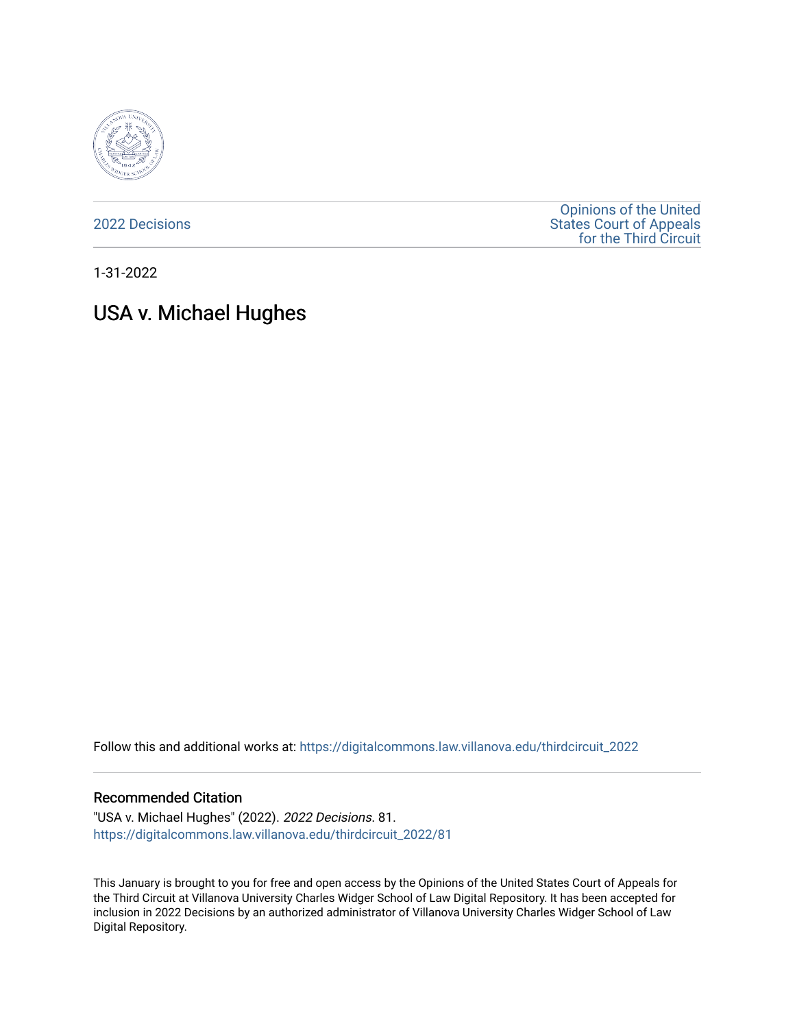

[2022 Decisions](https://digitalcommons.law.villanova.edu/thirdcircuit_2022)

[Opinions of the United](https://digitalcommons.law.villanova.edu/thirdcircuit)  [States Court of Appeals](https://digitalcommons.law.villanova.edu/thirdcircuit)  [for the Third Circuit](https://digitalcommons.law.villanova.edu/thirdcircuit) 

1-31-2022

# USA v. Michael Hughes

Follow this and additional works at: [https://digitalcommons.law.villanova.edu/thirdcircuit\\_2022](https://digitalcommons.law.villanova.edu/thirdcircuit_2022?utm_source=digitalcommons.law.villanova.edu%2Fthirdcircuit_2022%2F81&utm_medium=PDF&utm_campaign=PDFCoverPages) 

#### Recommended Citation

"USA v. Michael Hughes" (2022). 2022 Decisions. 81. [https://digitalcommons.law.villanova.edu/thirdcircuit\\_2022/81](https://digitalcommons.law.villanova.edu/thirdcircuit_2022/81?utm_source=digitalcommons.law.villanova.edu%2Fthirdcircuit_2022%2F81&utm_medium=PDF&utm_campaign=PDFCoverPages)

This January is brought to you for free and open access by the Opinions of the United States Court of Appeals for the Third Circuit at Villanova University Charles Widger School of Law Digital Repository. It has been accepted for inclusion in 2022 Decisions by an authorized administrator of Villanova University Charles Widger School of Law Digital Repository.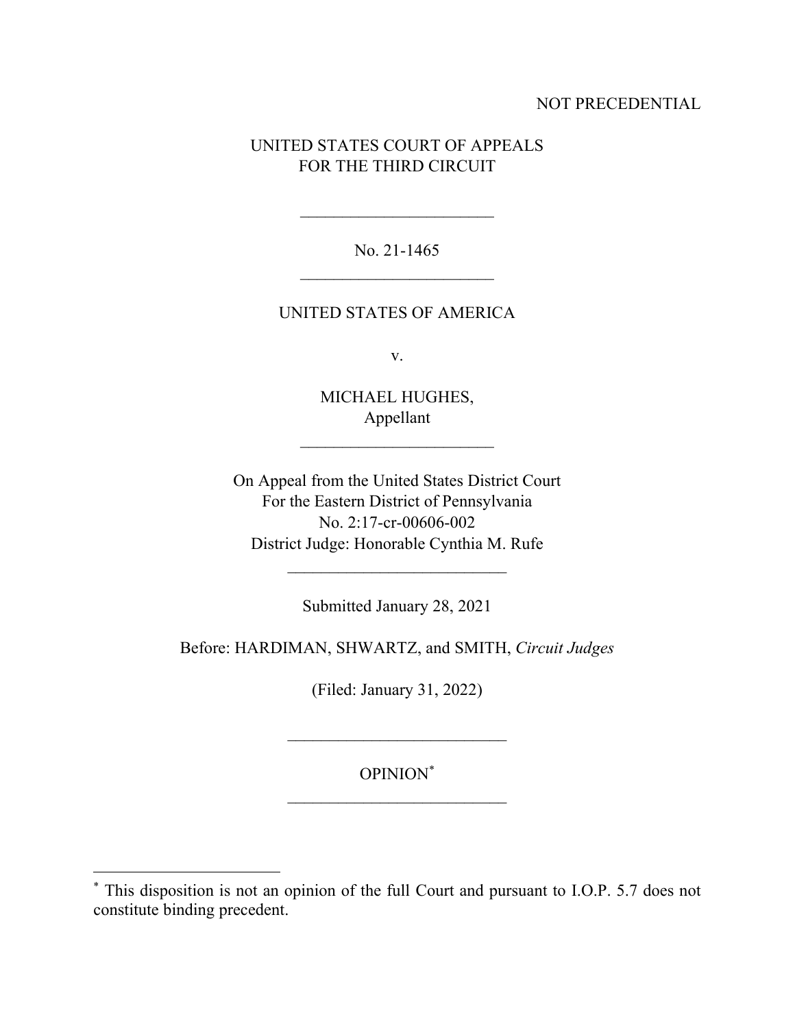## NOT PRECEDENTIAL

# UNITED STATES COURT OF APPEALS FOR THE THIRD CIRCUIT

No. 21-1465  $\frac{1}{2}$  ,  $\frac{1}{2}$  ,  $\frac{1}{2}$  ,  $\frac{1}{2}$  ,  $\frac{1}{2}$  ,  $\frac{1}{2}$  ,  $\frac{1}{2}$  ,  $\frac{1}{2}$  ,  $\frac{1}{2}$  ,  $\frac{1}{2}$  ,  $\frac{1}{2}$  ,  $\frac{1}{2}$  ,  $\frac{1}{2}$  ,  $\frac{1}{2}$  ,  $\frac{1}{2}$  ,  $\frac{1}{2}$  ,  $\frac{1}{2}$  ,  $\frac{1}{2}$  ,  $\frac{1$ 

### UNITED STATES OF AMERICA

v.

MICHAEL HUGHES, Appellant

 $\mathcal{L}_\text{max}$ 

On Appeal from the United States District Court For the Eastern District of Pennsylvania No. 2:17-cr-00606-002 District Judge: Honorable Cynthia M. Rufe

Submitted January 28, 2021

Before: HARDIMAN, SHWARTZ, and SMITH, *Circuit Judges*

(Filed: January 31, 2022)

# OPINION\*

<sup>\*</sup> This disposition is not an opinion of the full Court and pursuant to I.O.P. 5.7 does not constitute binding precedent.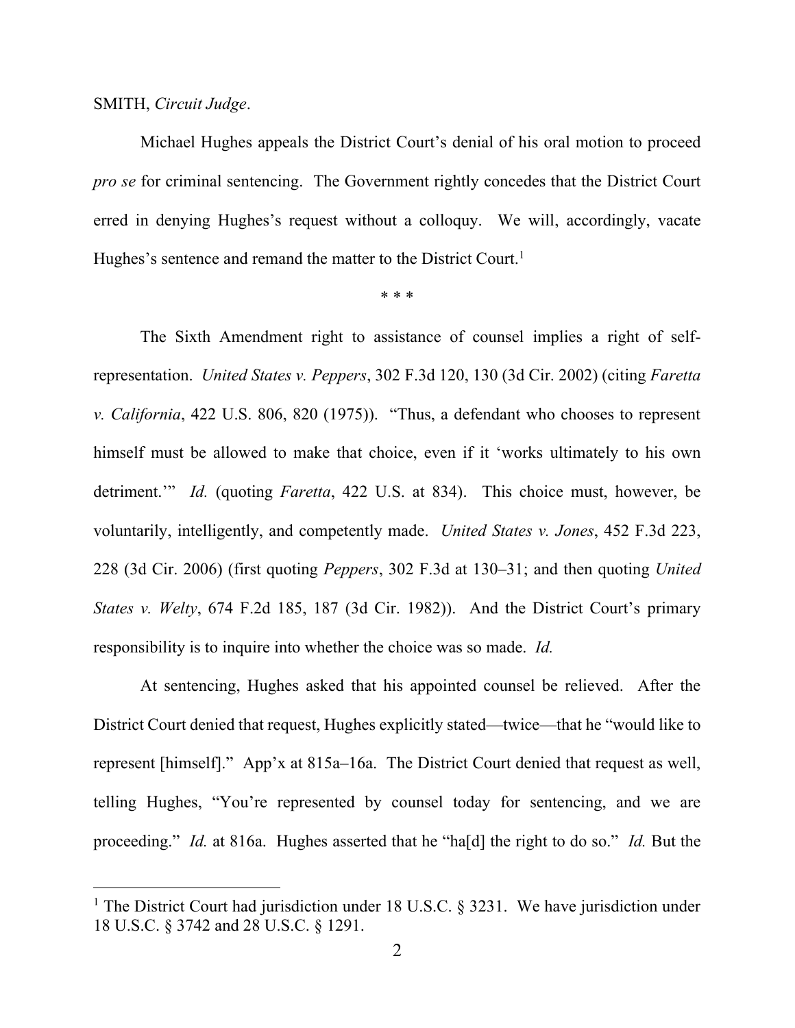#### SMITH, *Circuit Judge*.

Michael Hughes appeals the District Court's denial of his oral motion to proceed *pro se* for criminal sentencing. The Government rightly concedes that the District Court erred in denying Hughes's request without a colloquy. We will, accordingly, vacate Hughes's sentence and remand the matter to the District Court.<sup>1</sup>

#### \* \* \*

The Sixth Amendment right to assistance of counsel implies a right of selfrepresentation. *United States v. Peppers*, 302 F.3d 120, 130 (3d Cir. 2002) (citing *Faretta v. California*, 422 U.S. 806, 820 (1975)). "Thus, a defendant who chooses to represent himself must be allowed to make that choice, even if it 'works ultimately to his own detriment.'" *Id.* (quoting *Faretta*, 422 U.S. at 834). This choice must, however, be voluntarily, intelligently, and competently made. *United States v. Jones*, 452 F.3d 223, 228 (3d Cir. 2006) (first quoting *Peppers*, 302 F.3d at 130–31; and then quoting *United States v. Welty*, 674 F.2d 185, 187 (3d Cir. 1982)). And the District Court's primary responsibility is to inquire into whether the choice was so made. *Id.*

At sentencing, Hughes asked that his appointed counsel be relieved. After the District Court denied that request, Hughes explicitly stated—twice—that he "would like to represent [himself]." App'x at 815a–16a.The District Court denied that request as well, telling Hughes, "You're represented by counsel today for sentencing, and we are proceeding." *Id.* at 816a. Hughes asserted that he "ha[d] the right to do so." *Id.* But the

<sup>&</sup>lt;sup>1</sup> The District Court had jurisdiction under 18 U.S.C.  $\S$  3231. We have jurisdiction under 18 U.S.C. § 3742 and 28 U.S.C. § 1291.